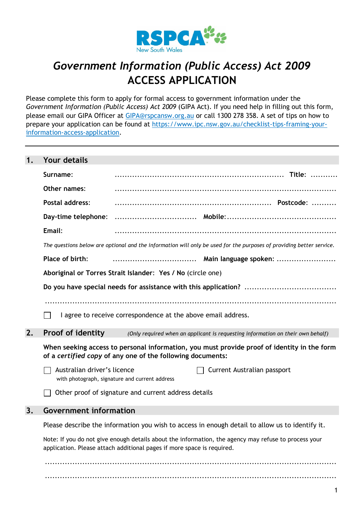

# *Government Information (Public Access) Act 2009* **ACCESS APPLICATION**

Please complete this form to apply for formal access to government information under the *Government Information (Public Access) Act 2009* (GIPA Act). If you need help in filling out this form, please email our GIPA Officer at [GIPA@rspcansw.org.au](mailto:GIPA@rspcansw.org.au) or call 1300 278 358. A set of tips on how to prepare your application can be found at [https://www.ipc.nsw.gov.au/checklist-tips-framing-your](https://www.ipc.nsw.gov.au/checklist-tips-framing-your-information-access-application)[information-access-application.](https://www.ipc.nsw.gov.au/checklist-tips-framing-your-information-access-application)

## **1. Your details**

|    | Surname:                                                                                                                                                  |                                                                        |  |                                                                                                                      |  |
|----|-----------------------------------------------------------------------------------------------------------------------------------------------------------|------------------------------------------------------------------------|--|----------------------------------------------------------------------------------------------------------------------|--|
|    | Other names:                                                                                                                                              |                                                                        |  |                                                                                                                      |  |
|    | Postal address:                                                                                                                                           |                                                                        |  |                                                                                                                      |  |
|    | Day-time telephone:                                                                                                                                       |                                                                        |  |                                                                                                                      |  |
|    | Email:                                                                                                                                                    |                                                                        |  |                                                                                                                      |  |
|    |                                                                                                                                                           |                                                                        |  | The questions below are optional and the information will only be used for the purposes of providing better service. |  |
|    | Place of birth:                                                                                                                                           |                                                                        |  |                                                                                                                      |  |
|    |                                                                                                                                                           | Aboriginal or Torres Strait Islander: Yes / No (circle one)            |  |                                                                                                                      |  |
|    |                                                                                                                                                           |                                                                        |  |                                                                                                                      |  |
|    |                                                                                                                                                           |                                                                        |  |                                                                                                                      |  |
|    |                                                                                                                                                           | I agree to receive correspondence at the above email address.          |  |                                                                                                                      |  |
| 2. | Proof of identity                                                                                                                                         |                                                                        |  | (Only required when an applicant is requesting information on their own behalf)                                      |  |
|    | When seeking access to personal information, you must provide proof of identity in the form<br>of a certified copy of any one of the following documents: |                                                                        |  |                                                                                                                      |  |
|    | Australian driver's licence                                                                                                                               | with photograph, signature and current address                         |  | Current Australian passport                                                                                          |  |
|    |                                                                                                                                                           | Other proof of signature and current address details                   |  |                                                                                                                      |  |
| 3. | <b>Government information</b>                                                                                                                             |                                                                        |  |                                                                                                                      |  |
|    |                                                                                                                                                           |                                                                        |  | Please describe the information you wish to access in enough detail to allow us to identify it.                      |  |
|    |                                                                                                                                                           | application. Please attach additional pages if more space is required. |  | Note: If you do not give enough details about the information, the agency may refuse to process your                 |  |
|    |                                                                                                                                                           |                                                                        |  |                                                                                                                      |  |

..................................................................................................................... .....................................................................................................................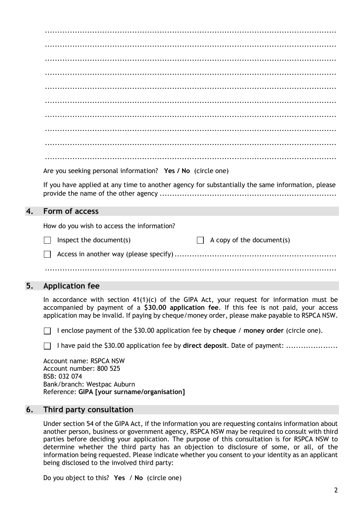|    | Are you seeking personal information? Yes / No (circle one)                                                                                                                                                                                                                                |
|----|--------------------------------------------------------------------------------------------------------------------------------------------------------------------------------------------------------------------------------------------------------------------------------------------|
|    | If you have applied at any time to another agency for substantially the same information, please                                                                                                                                                                                           |
| 4. | Form of access                                                                                                                                                                                                                                                                             |
|    | How do you wish to access the information?                                                                                                                                                                                                                                                 |
|    | Inspect the document(s)<br>A copy of the document(s)                                                                                                                                                                                                                                       |
|    |                                                                                                                                                                                                                                                                                            |
|    |                                                                                                                                                                                                                                                                                            |
| 5. | <b>Application fee</b>                                                                                                                                                                                                                                                                     |
|    | In accordance with section $41(1)(c)$ of the GIPA Act, your request for information must be<br>accompanied by payment of a \$30.00 application fee. If this fee is not paid, your access<br>application may be invalid. If paying by cheque/money order, please make payable to RSPCA NSW. |
|    | I enclose payment of the \$30.00 application fee by cheque / money order (circle one).                                                                                                                                                                                                     |

|  |  | I have paid the \$30.00 application fee by direct deposit. Date of payment: |
|--|--|-----------------------------------------------------------------------------|
|  |  |                                                                             |
|  |  |                                                                             |

Account name: RSPCA NSW Account number: 800 525 BSB: 032 074 Bank/branch: Westpac Auburn Reference: **GIPA [your surname/organisation]**

### **6. Third party consultation**

Under section 54 of the GIPA Act, if the information you are requesting contains information about another person, business or government agency, RSPCA NSW may be required to consult with third parties before deciding your application. The purpose of this consultation is for RSPCA NSW to determine whether the third party has an objection to disclosure of some, or all, of the information being requested. Please indicate whether you consent to your identity as an applicant being disclosed to the involved third party:

Do you object to this? **Yes** / **No** (circle one)